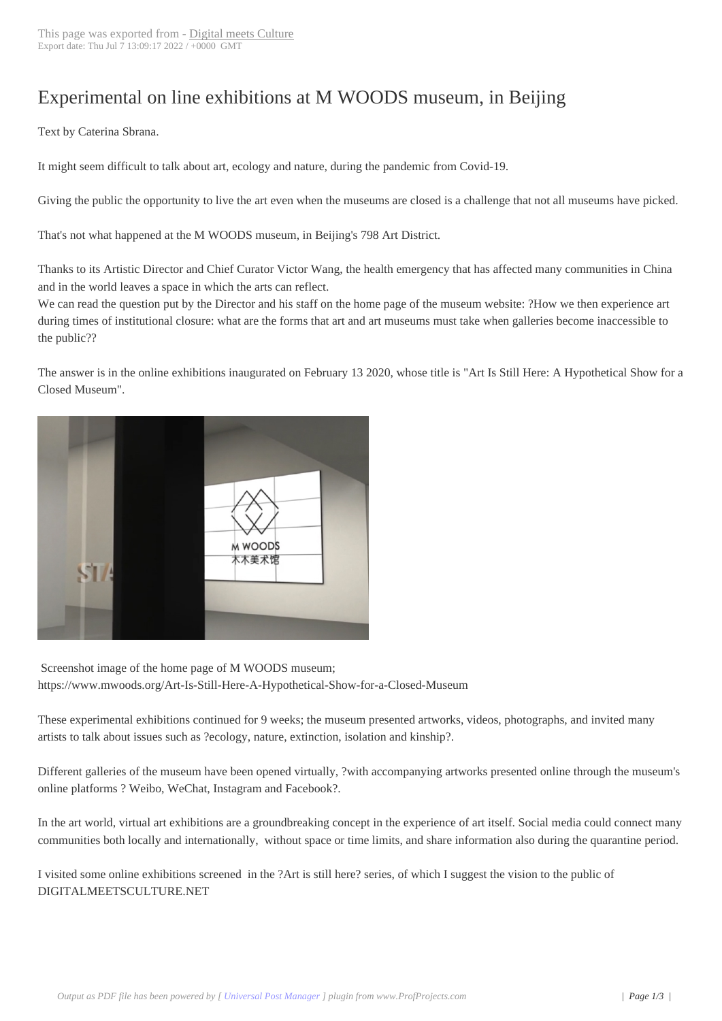## Experimental on li[ne exhibitions](https://www.digitalmeetsculture.net/?p=56210) at M WOODS museum, in Beijing

 Text by Caterina Sbrana.

It might seem difficult to talk about art, ecology and nature, during the pandemic from Covid-19.

Giving the public the opportunity to live the art even when the museums are closed is a challenge that not all museums have picked.

That's not what happened at the M WOODS museum, in Beijing's 798 Art District.

Thanks to its Artistic Director and Chief Curator Victor Wang, the health emergency that has affected many communities in China and in the world leaves a space in which the arts can reflect.

We can read the question put by the Director and his staff on the home page of the museum website: ?How we then experience art during times of institutional closure: what are the forms that art and art museums must take when galleries become inaccessible to the public??

The answer is in the online exhibitions inaugurated on February 13 2020, whose title is "Art Is Still Here: A Hypothetical Show for a Closed Museum".



 Screenshot image of the home page of M WOODS museum; https://www.mwoods.org/Art-Is-Still-Here-A-Hypothetical-Show-for-a-Closed-Museum

These experimental exhibitions continued for 9 weeks; the museum presented artworks, videos, photographs, and invited many artists to talk about issues such as ?ecology, nature, extinction, isolation and kinship?.

Different galleries of the museum have been opened virtually, ?with accompanying artworks presented online through the museum's online platforms ? Weibo, WeChat, Instagram and Facebook?.

In the art world, virtual art exhibitions are a groundbreaking concept in the experience of art itself. Social media could connect many communities both locally and internationally, without space or time limits, and share information also during the quarantine period.

I visited some online exhibitions screened in the ?Art is still here? series, of which I suggest the vision to the public of DIGITALMEETSCULTURE.NET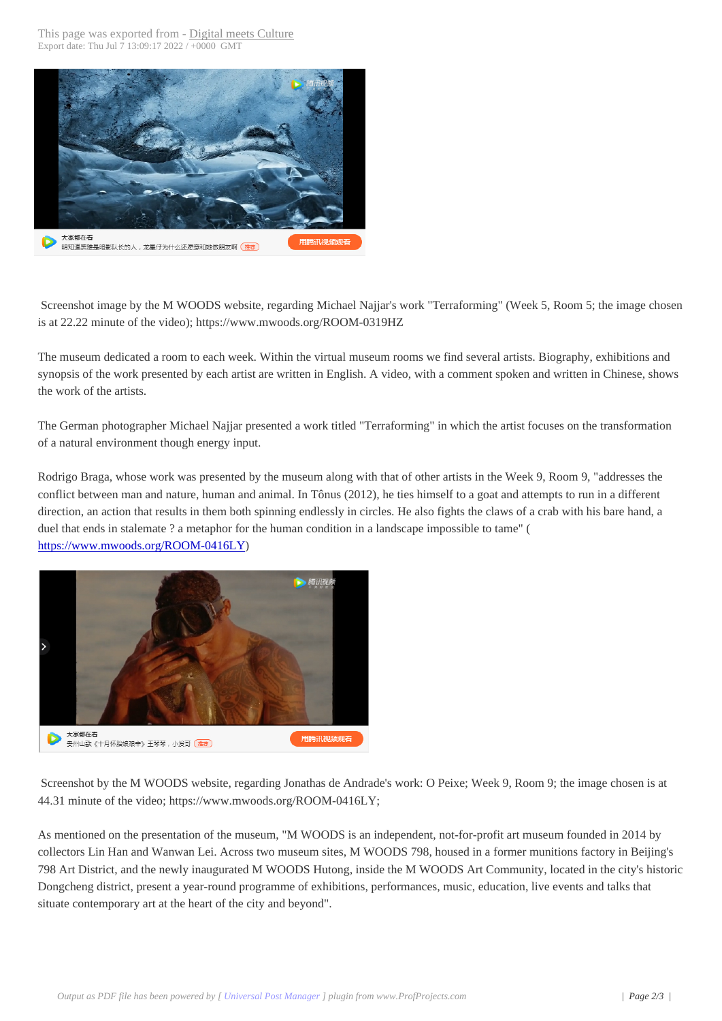

 Screenshot image by the M WOODS website, regarding Michael Najjar's work "Terraforming" (Week 5, Room 5; the image chosen is at 22.22 minute of the video); https://www.mwoods.org/ROOM-0319HZ

The museum dedicated a room to each week. Within the virtual museum rooms we find several artists. Biography, exhibitions and synopsis of the work presented by each artist are written in English. A video, with a comment spoken and written in Chinese, shows the work of the artists.

The German photographer Michael Najjar presented a work titled "Terraforming" in which the artist focuses on the transformation of a natural environment though energy input.

Rodrigo Braga, whose work was presented by the museum along with that of other artists in the Week 9, Room 9, "addresses the conflict between man and nature, human and animal. In Tônus (2012), he ties himself to a goat and attempts to run in a different direction, an action that results in them both spinning endlessly in circles. He also fights the claws of a crab with his bare hand, a duel that ends in stalemate ? a metaphor for the human condition in a landscape impossible to tame" ( https://www.mwoods.org/ROOM-0416LY)



 Screenshot by the M WOODS website, regarding Jonathas de Andrade's work: O Peixe; Week 9, Room 9; the image chosen is at 44.31 minute of the video; https://www.mwoods.org/ROOM-0416LY;

As mentioned on the presentation of the museum, "M WOODS is an independent, not-for-profit art museum founded in 2014 by collectors Lin Han and Wanwan Lei. Across two museum sites, M WOODS 798, housed in a former munitions factory in Beijing's 798 Art District, and the newly inaugurated M WOODS Hutong, inside the M WOODS Art Community, located in the city's historic Dongcheng district, present a year-round programme of exhibitions, performances, music, education, live events and talks that situate contemporary art at the heart of the city and beyond".